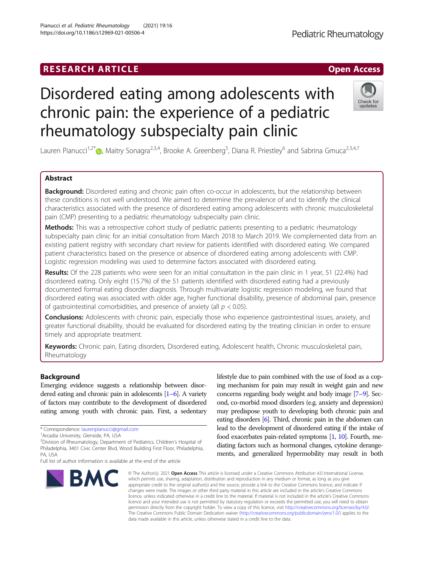# **RESEARCH ARTICLE Example 2018 12:00 Department 2018 12:00 Department 2018 12:00 Department 2018 12:00 Department 2018 12:00 Department 2018 12:00 Department 2018 12:00 Department 2018 12:00 Department 2018 12:00 Departm**

# Disordered eating among adolescents with chronic pain: the experience of a pediatric rheumatology subspecialty pain clinic

Lauren Pianucci<sup>1,2[\\*](http://orcid.org/0000-0003-1325-0159)</sup>®, Maitry Sonagra<sup>2,3,4</sup>, Brooke A. Greenberg<sup>5</sup>, Diana R. Priestley<sup>6</sup> and Sabrina Gmuca<sup>2,3,4,7</sup>

# Abstract

Background: Disordered eating and chronic pain often co-occur in adolescents, but the relationship between these conditions is not well understood. We aimed to determine the prevalence of and to identify the clinical characteristics associated with the presence of disordered eating among adolescents with chronic musculoskeletal pain (CMP) presenting to a pediatric rheumatology subspecialty pain clinic.

Methods: This was a retrospective cohort study of pediatric patients presenting to a pediatric rheumatology subspecialty pain clinic for an initial consultation from March 2018 to March 2019. We complemented data from an existing patient registry with secondary chart review for patients identified with disordered eating. We compared patient characteristics based on the presence or absence of disordered eating among adolescents with CMP. Logistic regression modeling was used to determine factors associated with disordered eating.

Results: Of the 228 patients who were seen for an initial consultation in the pain clinic in 1 year, 51 (22.4%) had disordered eating. Only eight (15.7%) of the 51 patients identified with disordered eating had a previously documented formal eating disorder diagnosis. Through multivariate logistic regression modeling, we found that disordered eating was associated with older age, higher functional disability, presence of abdominal pain, presence of gastrointestinal comorbidities, and presence of anxiety (all  $p < 0.05$ ).

Conclusions: Adolescents with chronic pain, especially those who experience gastrointestinal issues, anxiety, and greater functional disability, should be evaluated for disordered eating by the treating clinician in order to ensure timely and appropriate treatment.

Keywords: Chronic pain, Eating disorders, Disordered eating, Adolescent health, Chronic musculoskeletal pain, Rheumatology

# Background

Emerging evidence suggests a relationship between disordered eating and chronic pain in adolescents [\[1](#page-5-0)–[6](#page-6-0)]. A variety of factors may contribute to the development of disordered eating among youth with chronic pain. First, a sedentary

<sup>2</sup>Division of Rheumatology, Department of Pediatrics, Children's Hospital of Philadelphia, 3401 Civic Center Blvd, Wood Building First Floor, Philadelphia, PA, USA

lifestyle due to pain combined with the use of food as a coping mechanism for pain may result in weight gain and new concerns regarding body weight and body image [\[7](#page-6-0)–[9](#page-6-0)]. Second, co-morbid mood disorders (e.g. anxiety and depression) may predispose youth to developing both chronic pain and eating disorders [\[6\]](#page-6-0). Third, chronic pain in the abdomen can lead to the development of disordered eating if the intake of food exacerbates pain-related symptoms [[1](#page-5-0), [10](#page-6-0)]. Fourth, mediating factors such as hormonal changes, cytokine derangements, and generalized hypermobility may result in both

© The Author(s), 2021 **Open Access** This article is licensed under a Creative Commons Attribution 4.0 International License, which permits use, sharing, adaptation, distribution and reproduction in any medium or format, as long as you give appropriate credit to the original author(s) and the source, provide a link to the Creative Commons licence, and indicate if changes were made. The images or other third party material in this article are included in the article's Creative Commons licence, unless indicated otherwise in a credit line to the material. If material is not included in the article's Creative Commons licence and your intended use is not permitted by statutory regulation or exceeds the permitted use, you will need to obtain permission directly from the copyright holder. To view a copy of this licence, visit [http://creativecommons.org/licenses/by/4.0/.](http://creativecommons.org/licenses/by/4.0/) The Creative Commons Public Domain Dedication waiver [\(http://creativecommons.org/publicdomain/zero/1.0/](http://creativecommons.org/publicdomain/zero/1.0/)) applies to the data made available in this article, unless otherwise stated in a credit line to the data.





<sup>\*</sup> Correspondence: [laurenpianucci@gmail.com](mailto:laurenpianucci@gmail.com) <sup>1</sup>

Arcadia University, Glenside, PA, USA

Full list of author information is available at the end of the article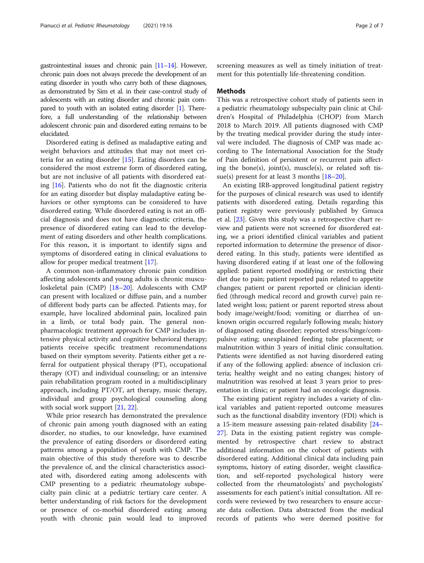gastrointestinal issues and chronic pain [[11](#page-6-0)–[14\]](#page-6-0). However, chronic pain does not always precede the development of an eating disorder in youth who carry both of these diagnoses, as demonstrated by Sim et al. in their case-control study of adolescents with an eating disorder and chronic pain compared to youth with an isolated eating disorder [\[1](#page-5-0)]. Therefore, a full understanding of the relationship between adolescent chronic pain and disordered eating remains to be elucidated.

Disordered eating is defined as maladaptive eating and weight behaviors and attitudes that may not meet criteria for an eating disorder [[15\]](#page-6-0). Eating disorders can be considered the most extreme form of disordered eating, but are not inclusive of all patients with disordered eating [[16\]](#page-6-0). Patients who do not fit the diagnostic criteria for an eating disorder but display maladaptive eating behaviors or other symptoms can be considered to have disordered eating. While disordered eating is not an official diagnosis and does not have diagnostic criteria, the presence of disordered eating can lead to the development of eating disorders and other health complications. For this reason, it is important to identify signs and symptoms of disordered eating in clinical evaluations to allow for proper medical treatment [[17\]](#page-6-0).

A common non-inflammatory chronic pain condition affecting adolescents and young adults is chronic musculoskeletal pain (CMP) [\[18](#page-6-0)–[20\]](#page-6-0). Adolescents with CMP can present with localized or diffuse pain, and a number of different body parts can be affected. Patients may, for example, have localized abdominal pain, localized pain in a limb, or total body pain. The general nonpharmacologic treatment approach for CMP includes intensive physical activity and cognitive behavioral therapy; patients receive specific treatment recommendations based on their symptom severity. Patients either get a referral for outpatient physical therapy (PT), occupational therapy (OT) and individual counseling; or an intensive pain rehabilitation program rooted in a multidisciplinary approach, including PT/OT, art therapy, music therapy, individual and group psychological counseling along with social work support [\[21](#page-6-0), [22](#page-6-0)].

While prior research has demonstrated the prevalence of chronic pain among youth diagnosed with an eating disorder, no studies, to our knowledge, have examined the prevalence of eating disorders or disordered eating patterns among a population of youth with CMP. The main objective of this study therefore was to describe the prevalence of, and the clinical characteristics associated with, disordered eating among adolescents with CMP presenting to a pediatric rheumatology subspecialty pain clinic at a pediatric tertiary care center. A better understanding of risk factors for the development or presence of co-morbid disordered eating among youth with chronic pain would lead to improved screening measures as well as timely initiation of treatment for this potentially life-threatening condition.

## Methods

This was a retrospective cohort study of patients seen in a pediatric rheumatology subspecialty pain clinic at Children's Hospital of Philadelphia (CHOP) from March 2018 to March 2019. All patients diagnosed with CMP by the treating medical provider during the study interval were included. The diagnosis of CMP was made according to The International Association for the Study of Pain definition of persistent or recurrent pain affecting the bone(s), joint(s), muscle(s), or related soft tissue(s) present for at least 3 months  $[18–20]$  $[18–20]$  $[18–20]$  $[18–20]$  $[18–20]$ .

An existing IRB-approved longitudinal patient registry for the purposes of clinical research was used to identify patients with disordered eating. Details regarding this patient registry were previously published by Gmuca et al. [\[23](#page-6-0)]. Given this study was a retrospective chart review and patients were not screened for disordered eating, we a priori identified clinical variables and patient reported information to determine the presence of disordered eating. In this study, patients were identified as having disordered eating if at least one of the following applied: patient reported modifying or restricting their diet due to pain; patient reported pain related to appetite changes; patient or parent reported or clinician identified (through medical record and growth curve) pain related weight loss; patient or parent reported stress about body image/weight/food; vomiting or diarrhea of unknown origin occurred regularly following meals; history of diagnosed eating disorder; reported stress/binge/compulsive eating; unexplained feeding tube placement; or malnutrition within 3 years of initial clinic consultation. Patients were identified as not having disordered eating if any of the following applied: absence of inclusion criteria; healthy weight and no eating changes; history of malnutrition was resolved at least 3 years prior to presentation in clinic; or patient had an oncologic diagnosis.

The existing patient registry includes a variety of clinical variables and patient-reported outcome measures such as the functional disability inventory (FDI) which is a 15-item measure assessing pain-related disability [[24](#page-6-0)– [27\]](#page-6-0). Data in the existing patient registry was complemented by retrospective chart review to abstract additional information on the cohort of patients with disordered eating. Additional clinical data including pain symptoms, history of eating disorder, weight classification, and self-reported psychological history were collected from the rheumatologists' and psychologists' assessments for each patient's initial consultation. All records were reviewed by two researchers to ensure accurate data collection. Data abstracted from the medical records of patients who were deemed positive for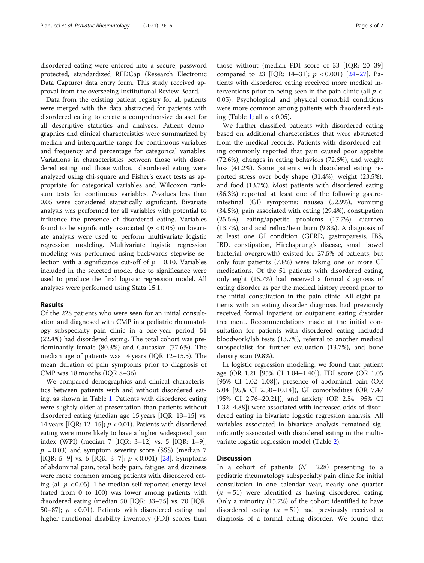disordered eating were entered into a secure, password protected, standardized REDCap (Research Electronic Data Capture) data entry form. This study received approval from the overseeing Institutional Review Board.

Data from the existing patient registry for all patients were merged with the data abstracted for patients with disordered eating to create a comprehensive dataset for all descriptive statistics and analyses. Patient demographics and clinical characteristics were summarized by median and interquartile range for continuous variables and frequency and percentage for categorical variables. Variations in characteristics between those with disordered eating and those without disordered eating were analyzed using chi-square and Fisher's exact tests as appropriate for categorical variables and Wilcoxon ranksum tests for continuous variables. P-values less than 0.05 were considered statistically significant. Bivariate analysis was performed for all variables with potential to influence the presence of disordered eating. Variables found to be significantly associated ( $p < 0.05$ ) on bivariate analysis were used to perform multivariate logistic regression modeling. Multivariate logistic regression modeling was performed using backwards stepwise selection with a significance cut-off of  $p = 0.10$ . Variables included in the selected model due to significance were used to produce the final logistic regression model. All analyses were performed using Stata 15.1.

# Results

Of the 228 patients who were seen for an initial consultation and diagnosed with CMP in a pediatric rheumatology subspecialty pain clinic in a one-year period, 51 (22.4%) had disordered eating. The total cohort was predominantly female (80.3%) and Caucasian (77.6%). The median age of patients was 14 years (IQR 12–15.5). The mean duration of pain symptoms prior to diagnosis of CMP was 18 months (IQR 8–36).

We compared demographics and clinical characteristics between patients with and without disordered eating, as shown in Table [1.](#page-3-0) Patients with disordered eating were slightly older at presentation than patients without disordered eating (median age 15 years [IQR: 13–15] vs. 14 years [IQR: 12–15];  $p < 0.01$ ). Patients with disordered eating were more likely to have a higher widespread pain index (WPI) (median 7 [IQR: 3–12] vs. 5 [IQR: 1–9];  $p = 0.03$ ) and symptom severity score (SSS) (median 7 [IQR: 5–9] vs. 6 [IQR: 3–7];  $p < 0.001$  [\[28](#page-6-0)]. Symptoms of abdominal pain, total body pain, fatigue, and dizziness were more common among patients with disordered eating (all  $p < 0.05$ ). The median self-reported energy level (rated from 0 to 100) was lower among patients with disordered eating (median 50 [IQR: 33–75] vs. 70 [IQR: 50–87];  $p < 0.01$ ). Patients with disordered eating had higher functional disability inventory (FDI) scores than

those without (median FDI score of 33 [IQR: 20–39] compared to 23 [IQR: 14-31];  $p < 0.001$  [[24](#page-6-0)-[27](#page-6-0)]. Patients with disordered eating received more medical interventions prior to being seen in the pain clinic (all  $p \lt$ 0.05). Psychological and physical comorbid conditions were more common among patients with disordered eat-ing (Table [1](#page-3-0); all  $p < 0.05$ ).

We further classified patients with disordered eating based on additional characteristics that were abstracted from the medical records. Patients with disordered eating commonly reported that pain caused poor appetite (72.6%), changes in eating behaviors (72.6%), and weight loss (41.2%). Some patients with disordered eating reported stress over body shape (31.4%), weight (23.5%), and food (13.7%). Most patients with disordered eating (86.3%) reported at least one of the following gastrointestinal (GI) symptoms: nausea (52.9%), vomiting (34.5%), pain associated with eating (29.4%), constipation (25.5%), eating/appetite problems (17.7%), diarrhea (13.7%), and acid reflux/heartburn (9.8%). A diagnosis of at least one GI condition (GERD, gastroparesis, IBS, IBD, constipation, Hirchsprung's disease, small bowel bacterial overgrowth) existed for 27.5% of patients, but only four patients (7.8%) were taking one or more GI medications. Of the 51 patients with disordered eating, only eight (15.7%) had received a formal diagnosis of eating disorder as per the medical history record prior to the initial consultation in the pain clinic. All eight patients with an eating disorder diagnosis had previously received formal inpatient or outpatient eating disorder treatment. Recommendations made at the initial consultation for patients with disordered eating included bloodwork/lab tests (13.7%), referral to another medical subspecialist for further evaluation (13.7%), and bone density scan (9.8%).

In logistic regression modeling, we found that patient age (OR 1.21 [95% CI 1.04–1.40]), FDI score (OR 1.05 [95% CI 1.02–1.08]), presence of abdominal pain (OR 5.04 [95% CI 2.50–10.14]), GI comorbidities (OR 7.47 [95% CI 2.76–20.21]), and anxiety (OR 2.54 [95% CI 1.32–4.88]) were associated with increased odds of disordered eating in bivariate logistic regression analysis. All variables associated in bivariate analysis remained significantly associated with disordered eating in the multivariate logistic regression model (Table [2](#page-4-0)).

## **Discussion**

In a cohort of patients  $(N = 228)$  presenting to a pediatric rheumatology subspecialty pain clinic for initial consultation in one calendar year, nearly one quarter  $(n = 51)$  were identified as having disordered eating. Only a minority (15.7%) of the cohort identified to have disordered eating ( $n = 51$ ) had previously received a diagnosis of a formal eating disorder. We found that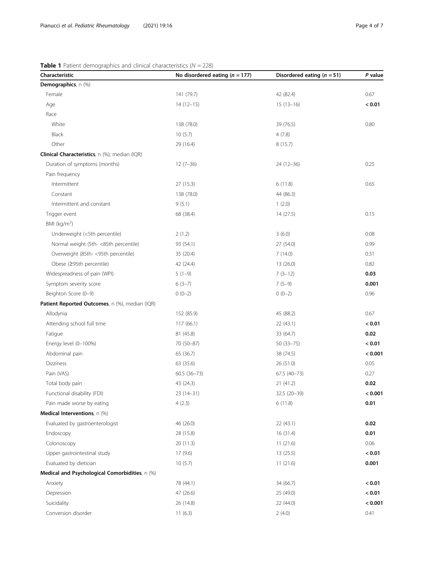# <span id="page-3-0"></span>**Table 1** Patient demographics and clinical characteristics ( $N = 228$ )

| Characteristic                                        | No disordered eating $(n = 177)$ | Disordered eating ( $n = 51$ ) | P value |
|-------------------------------------------------------|----------------------------------|--------------------------------|---------|
| Demographics, n (%)                                   |                                  |                                |         |
| Female                                                | 141 (79.7)                       | 42 (82.4)                      | 0.67    |
| Age                                                   | $14(12-15)$                      | $15(13-16)$                    | < 0.01  |
| Race                                                  |                                  |                                |         |
| White                                                 | 138 (78.0)                       | 39 (76.5)                      | 0.80    |
| Black                                                 | 10(5.7)                          | 4(7.8)                         |         |
| Other                                                 | 29 (16.4)                        | 8(15.7)                        |         |
| <b>Clinical Characteristics</b> , n (%); median (IQR) |                                  |                                |         |
| Duration of symptoms (months)                         | $12(7-36)$                       | $24(12-36)$                    | 0.25    |
| Pain frequency                                        |                                  |                                |         |
| Intermittent                                          | 27(15.3)                         | 6(11.8)                        | 0.65    |
| Constant                                              | 138 (78.0)                       | 44 (86.3)                      |         |
| Intermittent and constant                             | 9(5.1)                           | 1(2.0)                         |         |
| Trigger event                                         | 68 (38.4)                        | 14(27.5)                       | 0.15    |
| BMI ( $\text{kg/m}^2$ )                               |                                  |                                |         |
| Underweight (<5th percentile)                         | 2(1.2)                           | 3(6.0)                         | 0.08    |
| Normal weight (5th-<85th percentile)                  | 93 (54.1)                        | 27 (54.0)                      | 0.99    |
| Overweight (85th-<95th percentile)                    | 35 (20.4)                        | 7(14.0)                        | 0.31    |
| Obese (≥95th percentile)                              | 42 (24.4)                        | 13(26.0)                       | 0.82    |
| Widespreadness of pain (WPI)                          | $5(1-9)$                         | $7(3-12)$                      | 0.03    |
| Symptom severity score                                | $6(3-7)$                         | $7(5-9)$                       | 0.001   |
| Beighton Score (0-9)                                  | $0(0-2)$                         | $0(0-2)$                       | 0.96    |
| Patient Reported Outcomes, n (%), median (IQR)        |                                  |                                |         |
| Allodynia                                             | 152 (85.9)                       | 45 (88.2)                      | 0.67    |
| Attending school full time                            | 117(66.1)                        | 22(43.1)                       | < 0.01  |
| Fatigue                                               | 81 (45.8)                        | 33 (64.7)                      | 0.02    |
| Energy level (0-100%)                                 | 70 (50-87)                       | $50(33 - 75)$                  | < 0.01  |
| Abdominal pain                                        | 65 (36.7)                        | 38 (74.5)                      | < 0.001 |
| Dizziness                                             | 63 (35.6)                        | 26(51.0)                       | 0.05    |
| Pain (VAS)                                            | $60.5(36-73)$                    | $67.5(40-73)$                  | 0.27    |
| Total body pain                                       | 43 (24.3)                        | 21 (41.2)                      | 0.02    |
| Functional disability (FDI)                           | $23(14-31)$                      | 32.5 (20-39)                   | < 0.001 |
| Pain made worse by eating                             | 4(2.3)                           | 6(11.8)                        | 0.01    |
| Medical Interventions, n (%)                          |                                  |                                |         |
| Evaluated by gastroenterologist                       | 46 (26.0)                        | 22(43.1)                       | 0.02    |
| Endoscopy                                             | 28 (15.8)                        | 16(31.4)                       | 0.01    |
| Colonoscopy                                           | 20 (11.3)                        | 11(21.6)                       | 0.06    |
| Upper gastrointestinal study                          | 17(9.6)                          | 13(25.5)                       | < 0.01  |
| Evaluated by dietician                                | 10(5.7)                          | 11(21.6)                       | 0.001   |
| Medical and Psychological Comorbidities, n (%)        |                                  |                                |         |
| Anxiety                                               | 78 (44.1)                        | 34 (66.7)                      | < 0.01  |
| Depression                                            | 47 (26.6)                        | 25 (49.0)                      | < 0.01  |
| Suicidality                                           | 26 (14.8)                        | 22 (44.0)                      | < 0.001 |
| Conversion disorder                                   | 11(6.3)                          | 2(4.0)                         | 0.41    |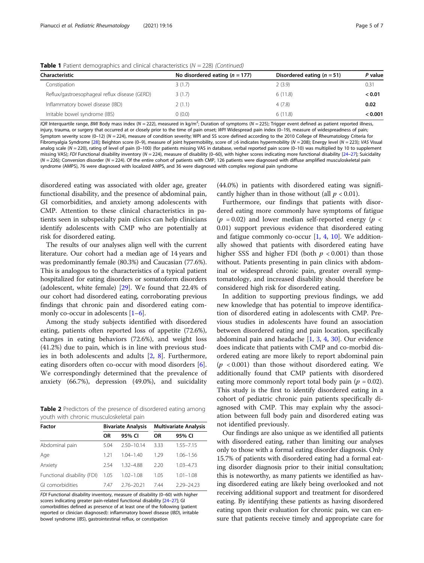| <b>Characteristic</b>                         | No disordered eating $(n = 177)$ | Disordered eating $(n = 51)$ | P value<br>0.31 |  |
|-----------------------------------------------|----------------------------------|------------------------------|-----------------|--|
| Constipation                                  | 3(1.7)                           | 2(3.9)                       |                 |  |
| Reflux/gastroesophageal reflux disease (GERD) | 3(1.7)                           | 6(11.8)                      | < 0.01          |  |
| Inflammatory bowel disease (IBD)              | 2(1.1)                           | 4(7.8)                       | 0.02            |  |
| Irritable bowel syndrome (IBS)                | (0.0)                            | 6(11.8)                      | < 0.001         |  |

<span id="page-4-0"></span>**Table 1** Patient demographics and clinical characteristics ( $N = 228$ ) (Continued)

IQR Interquartile range, BMI Body mass index (N = 222), measured in kg/m<sup>2</sup>; Duration of symptoms (N = 225); Trigger event defined as patient reported illness, injury, trauma, or surgery that occurred at or closely prior to the time of pain onset; WPI Widespread pain index (0-19), measure of widespreadness of pain; Symptom severity score (0–12) (N = 224), measure of condition severity; WPI and SS score defined according to the 2010 College of Rheumatology Criteria for Fibromyalgia Syndrome [[28\]](#page-6-0); Beighton score (0–9), measure of joint hypermobility, score of ≥6 indicates hypermobility (N = 208); Energy level (N = 223); VAS Visual analog scale (N = 220), rating of level of pain (0-100) (for patients missing VAS in database, verbal reported pain score (0-10) was multiplied by 10 to supplement missing VAS); FDI Functional disability inventory ( $N = 224$ ), measure of disability (0–60), with higher scores indicating more functional disability [\[24](#page-6-0)–[27](#page-6-0)]; Suicidality  $(N = 226)$ ; Conversion disorder  $(N = 224)$ . Of the entire cohort of patients with CMP, 126 patients were diagnosed with diffuse amplified musculoskeletal pain syndrome (AMPS), 76 were diagnosed with localized AMPS, and 36 were diagnosed with complex regional pain syndrome

disordered eating was associated with older age, greater functional disability, and the presence of abdominal pain, GI comorbidities, and anxiety among adolescents with CMP. Attention to these clinical characteristics in patients seen in subspecialty pain clinics can help clinicians identify adolescents with CMP who are potentially at risk for disordered eating.

The results of our analyses align well with the current literature. Our cohort had a median age of 14 years and was predominantly female (80.3%) and Caucasian (77.6%). This is analogous to the characteristics of a typical patient hospitalized for eating disorders or somatoform disorders (adolescent, white female) [[29](#page-6-0)]. We found that 22.4% of our cohort had disordered eating, corroborating previous findings that chronic pain and disordered eating commonly co-occur in adolescents  $[1-6]$  $[1-6]$  $[1-6]$ .

Among the study subjects identified with disordered eating, patients often reported loss of appetite (72.6%), changes in eating behaviors (72.6%), and weight loss (41.2%) due to pain, which is in line with previous studies in both adolescents and adults [\[2](#page-6-0), [8\]](#page-6-0). Furthermore, eating disorders often co-occur with mood disorders [\[6](#page-6-0)]. We correspondingly determined that the prevalence of anxiety (66.7%), depression (49.0%), and suicidality

Table 2 Predictors of the presence of disordered eating among youth with chronic musculoskeletal pain

| <b>Factor</b>               | <b>Bivariate Analysis</b> |                | <b>Multivariate Analysis</b> |               |
|-----------------------------|---------------------------|----------------|------------------------------|---------------|
|                             | <b>OR</b>                 | 95% CI         | <b>OR</b>                    | 95% CI        |
| Abdominal pain              | 5.04                      | $2.50 - 10.14$ | 3.33                         | $1.55 - 7.15$ |
| Age                         | 1 21                      | $104 - 140$    | 1 29                         | $1.06 - 1.56$ |
| Anxiety                     | 2.54                      | 1.32-4.88      | 2.20                         | $1.03 - 4.73$ |
| Functional disability (FDI) | 1.05                      | $1.02 - 1.08$  | 1.05                         | $1.01 - 1.08$ |
| GI comorbidities            | 7.47                      | $2.76 - 20.21$ | 744                          | 2.29-24.23    |

FDI Functional disability inventory, measure of disability (0–60) with higher scores indicating greater pain-related functional disability [\[24](#page-6-0)–[27](#page-6-0)]; GI comorbidities defined as presence of at least one of the following (patient reported or clinician diagnosed): inflammatory bowel disease (IBD), irritable bowel syndrome (IBS), gastrointestinal reflux, or constipation

(44.0%) in patients with disordered eating was significantly higher than in those without (all  $p < 0.01$ ).

Furthermore, our findings that patients with disordered eating more commonly have symptoms of fatigue  $(p = 0.02)$  and lower median self-reported energy  $(p <$ 0.01) support previous evidence that disordered eating and fatigue commonly co-occur  $[1, 4, 10]$  $[1, 4, 10]$  $[1, 4, 10]$  $[1, 4, 10]$  $[1, 4, 10]$  $[1, 4, 10]$ . We additionally showed that patients with disordered eating have higher SSS and higher FDI (both  $p < 0.001$ ) than those without. Patients presenting in pain clinics with abdominal or widespread chronic pain, greater overall symptomatology, and increased disability should therefore be considered high risk for disordered eating.

In addition to supporting previous findings, we add new knowledge that has potential to improve identification of disordered eating in adolescents with CMP. Previous studies in adolescents have found an association between disordered eating and pain location, specifically abdominal pain and headache  $[1, 3, 4, 30]$  $[1, 3, 4, 30]$  $[1, 3, 4, 30]$  $[1, 3, 4, 30]$  $[1, 3, 4, 30]$  $[1, 3, 4, 30]$  $[1, 3, 4, 30]$ . Our evidence does indicate that patients with CMP and co-morbid disordered eating are more likely to report abdominal pain  $(p < 0.001)$  than those without disordered eating. We additionally found that CMP patients with disordered eating more commonly report total body pain ( $p = 0.02$ ). This study is the first to identify disordered eating in a cohort of pediatric chronic pain patients specifically diagnosed with CMP. This may explain why the association between full body pain and disordered eating was not identified previously.

Our findings are also unique as we identified all patients with disordered eating, rather than limiting our analyses only to those with a formal eating disorder diagnosis. Only 15.7% of patients with disordered eating had a formal eating disorder diagnosis prior to their initial consultation; this is noteworthy, as many patients we identified as having disordered eating are likely being overlooked and not receiving additional support and treatment for disordered eating. By identifying these patients as having disordered eating upon their evaluation for chronic pain, we can ensure that patients receive timely and appropriate care for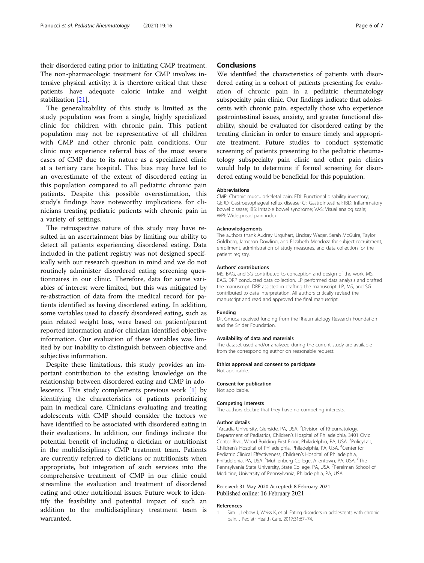<span id="page-5-0"></span>their disordered eating prior to initiating CMP treatment. The non-pharmacologic treatment for CMP involves intensive physical activity; it is therefore critical that these patients have adequate caloric intake and weight stabilization [\[21\]](#page-6-0).

The generalizability of this study is limited as the study population was from a single, highly specialized clinic for children with chronic pain. This patient population may not be representative of all children with CMP and other chronic pain conditions. Our clinic may experience referral bias of the most severe cases of CMP due to its nature as a specialized clinic at a tertiary care hospital. This bias may have led to an overestimate of the extent of disordered eating in this population compared to all pediatric chronic pain patients. Despite this possible overestimation, this study's findings have noteworthy implications for clinicians treating pediatric patients with chronic pain in a variety of settings.

The retrospective nature of this study may have resulted in an ascertainment bias by limiting our ability to detect all patients experiencing disordered eating. Data included in the patient registry was not designed specifically with our research question in mind and we do not routinely administer disordered eating screening questionnaires in our clinic. Therefore, data for some variables of interest were limited, but this was mitigated by re-abstraction of data from the medical record for patients identified as having disordered eating. In addition, some variables used to classify disordered eating, such as pain related weight loss, were based on patient/parent reported information and/or clinician identified objective information. Our evaluation of these variables was limited by our inability to distinguish between objective and subjective information.

Despite these limitations, this study provides an important contribution to the existing knowledge on the relationship between disordered eating and CMP in adolescents. This study complements previous work [1] by identifying the characteristics of patients prioritizing pain in medical care. Clinicians evaluating and treating adolescents with CMP should consider the factors we have identified to be associated with disordered eating in their evaluations. In addition, our findings indicate the potential benefit of including a dietician or nutritionist in the multidisciplinary CMP treatment team. Patients are currently referred to dieticians or nutritionists when appropriate, but integration of such services into the comprehensive treatment of CMP in our clinic could streamline the evaluation and treatment of disordered eating and other nutritional issues. Future work to identify the feasibility and potential impact of such an addition to the multidisciplinary treatment team is warranted.

# **Conclusions**

We identified the characteristics of patients with disordered eating in a cohort of patients presenting for evaluation of chronic pain in a pediatric rheumatology subspecialty pain clinic. Our findings indicate that adolescents with chronic pain, especially those who experience gastrointestinal issues, anxiety, and greater functional disability, should be evaluated for disordered eating by the treating clinician in order to ensure timely and appropriate treatment. Future studies to conduct systematic screening of patients presenting to the pediatric rheumatology subspecialty pain clinic and other pain clinics would help to determine if formal screening for disordered eating would be beneficial for this population.

#### Abbreviations

CMP: Chronic musculoskeletal pain; FDI: Functional disability inventory; GERD: Gastroesophageal reflux disease; GI: Gastrointestinal; IBD: Inflammatory bowel disease; IBS: Irritable bowel syndrome; VAS: Visual analog scale; WPI: Widespread pain index

#### Acknowledgements

The authors thank Audrey Urquhart, Lindsay Waqar, Sarah McGuire, Taylor Goldberg, Jameson Dowling, and Elizabeth Mendoza for subject recruitment, enrollment, administration of study measures, and data collection for the patient registry.

#### Authors' contributions

MS, BAG, and SG contributed to conception and design of the work. MS, BAG, DRP conducted data collection. LP performed data analysis and drafted the manuscript. DRP assisted in drafting the manuscript. LP, MS, and SG contributed to data interpretation. All authors critically revised the manuscript and read and approved the final manuscript.

#### Funding

Dr. Gmuca received funding from the Rheumatology Research Foundation and the Snider Foundation.

#### Availability of data and materials

The dataset used and/or analyzed during the current study are available from the corresponding author on reasonable request.

### Ethics approval and consent to participate

Not applicable.

#### Consent for publication

Not applicable.

#### Competing interests

The authors declare that they have no competing interests.

#### Author details

<sup>1</sup> Arcadia University, Glenside, PA, USA. <sup>2</sup> Division of Rheumatology Department of Pediatrics, Children's Hospital of Philadelphia, 3401 Civic Center Blvd, Wood Building First Floor, Philadelphia, PA, USA. <sup>3</sup>PolicyLab Children's Hospital of Philadelphia, Philadelphia, PA, USA. <sup>4</sup> Center for Pediatric Clinical Effectiveness, Children's Hospital of Philadelphia, Philadelphia, PA, USA. <sup>5</sup>Muhlenberg College, Allentown, PA, USA. <sup>6</sup>The Pennsylvania State University, State College, PA, USA. <sup>7</sup>Perelman School of Medicine, University of Pennsylvania, Philadelphia, PA, USA.

## Received: 31 May 2020 Accepted: 8 February 2021 Published online: 16 February 2021

#### References

1. Sim L, Lebow J, Weiss K, et al. Eating disorders in adolescents with chronic pain. J Pediatr Health Care. 2017;31:67–74.